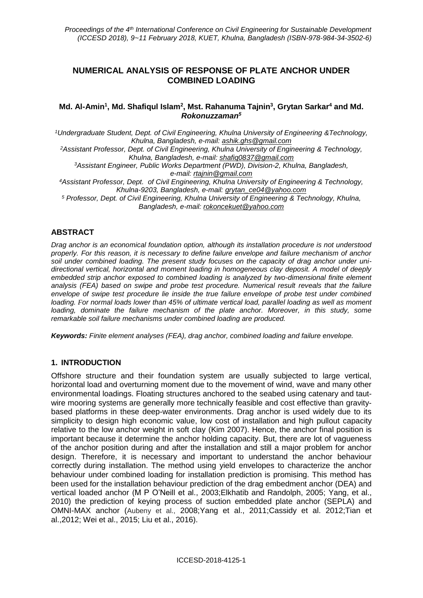# **NUMERICAL ANALYSIS OF RESPONSE OF PLATE ANCHOR UNDER COMBINED LOADING**

### **Md. Al-Amin<sup>1</sup> , Md. Shafiqul Islam<sup>2</sup> , Mst. Rahanuma Tajnin<sup>3</sup> , Grytan Sarkar<sup>4</sup> and Md.**  *Rokonuzzaman<sup>5</sup>*

*<sup>1</sup>Undergraduate Student, Dept. of Civil Engineering, Khulna University of Engineering &Technology, Khulna, Bangladesh, e-mail: ashik.ghs@gmail.com*

*<sup>2</sup>Assistant Professor, Dept. of Civil Engineering, Khulna University of Engineering & Technology, Khulna, Bangladesh, e-mail: [shafiq0837@gmail.com](mailto:shafiq0837@gmail.com)*

*<sup>3</sup>Assistant Engineer, Public Works Department (PWD), Division-2, Khulna, Bangladesh, e-mail: rtajnin@gmail.com*

*<sup>4</sup>Assistant Professor, Dept. of Civil Engineering, Khulna University of Engineering & Technology, Khulna-9203, Bangladesh, e-mail: [grytan\\_ce04@yahoo.com](mailto:grytan_ce04@yahoo.com)*

*<sup>5</sup> Professor, Dept. of Civil Engineering, Khulna University of Engineering & Technology, Khulna, Bangladesh, e-mail: rokoncekuet@yahoo.com*

### **ABSTRACT**

*Drag anchor is an economical foundation option, although its installation procedure is not understood properly. For this reason, it is necessary to define failure envelope and failure mechanism of anchor soil under combined loading. The present study focuses on the capacity of drag anchor under unidirectional vertical, horizontal and moment loading in homogeneous clay deposit. A model of deeply embedded strip anchor exposed to combined loading is analyzed by two-dimensional finite element analysis (FEA) based on swipe and probe test procedure. Numerical result reveals that the failure envelope of swipe test procedure lie inside the true failure envelope of probe test under combined loading. For normal loads lower than 45% of ultimate vertical load, parallel loading as well as moment*  loading, dominate the failure mechanism of the plate anchor. Moreover, in this study, some *remarkable soil failure mechanisms under combined loading are produced.*

*Keywords: Finite element analyses (FEA), drag anchor, combined loading and failure envelope.*

### **1. INTRODUCTION**

Offshore structure and their foundation system are usually subjected to large vertical, horizontal load and overturning moment due to the movement of wind, wave and many other environmental loadings. Floating structures anchored to the seabed using catenary and tautwire mooring systems are generally more technically feasible and cost effective than gravitybased platforms in these deep-water environments. Drag anchor is used widely due to its simplicity to design high economic value, low cost of installation and high pullout capacity relative to the low anchor weight in soft clay (Kim 2007). Hence, the anchor final position is important because it determine the anchor holding capacity. But, there are lot of vagueness of the anchor position during and after the installation and still a major problem for anchor design. Therefore, it is necessary and important to understand the anchor behaviour correctly during installation. The method using yield envelopes to characterize the anchor behaviour under combined loading for installation prediction is promising. This method has been used for the installation behaviour prediction of the drag embedment anchor (DEA) and vertical loaded anchor (M P O'Neill et al., 2003;Elkhatib and Randolph, 2005; Yang, et al., 2010) the prediction of keying process of suction embedded plate anchor (SEPLA) and OMNI-MAX anchor (Aubeny et al., 2008;Yang et al., 2011;Cassidy et al. 2012;Tian et al.,2012; Wei et al., 2015; Liu et al., 2016).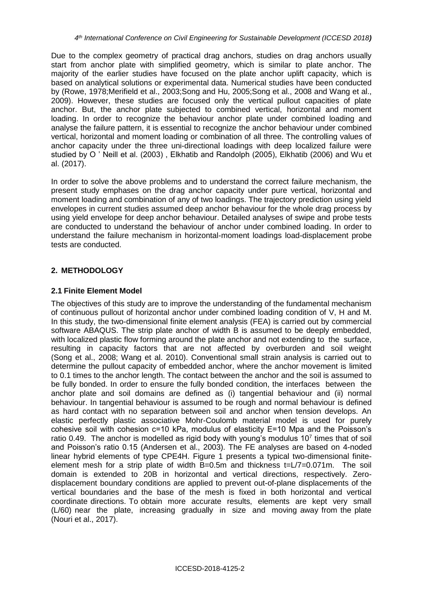Due to the complex geometry of practical drag anchors, studies on drag anchors usually start from anchor plate with simplified geometry, which is similar to plate anchor. The majority of the earlier studies have focused on the plate anchor uplift capacity, which is based on analytical solutions or experimental data. Numerical studies have been conducted by (Rowe, 1978;Merifield et al., 2003;Song and Hu, 2005;Song et al., 2008 and Wang et al., 2009). However, these studies are focused only the vertical pullout capacities of plate anchor. But, the anchor plate subjected to combined vertical, horizontal and moment loading. In order to recognize the behaviour anchor plate under combined loading and analyse the failure pattern, it is essential to recognize the anchor behaviour under combined vertical, horizontal and moment loading or combination of all three. The controlling values of anchor capacity under the three uni-directional loadings with deep localized failure were studied by O ' Neill et al. (2003) , Elkhatib and Randolph (2005), Elkhatib (2006) and Wu et al. (2017).

In order to solve the above problems and to understand the correct failure mechanism, the present study emphases on the drag anchor capacity under pure vertical, horizontal and moment loading and combination of any of two loadings. The trajectory prediction using yield envelopes in current studies assumed deep anchor behaviour for the whole drag process by using yield envelope for deep anchor behaviour. Detailed analyses of swipe and probe tests are conducted to understand the behaviour of anchor under combined loading. In order to understand the failure mechanism in horizontal-moment loadings load-displacement probe tests are conducted.

# **2. METHODOLOGY**

# **2.1 Finite Element Model**

The objectives of this study are to improve the understanding of the fundamental mechanism of continuous pullout of horizontal anchor under combined loading condition of V, H and M. In this study, the two-dimensional finite element analysis (FEA) is carried out by commercial software ABAQUS. The strip plate anchor of width B is assumed to be deeply embedded, with localized plastic flow forming around the plate anchor and not extending to the surface, resulting in capacity factors that are not affected by overburden and soil weight (Song et al., 2008; Wang et al. 2010). Conventional small strain analysis is carried out to determine the pullout capacity of embedded anchor, where the anchor movement is limited to 0.1 times to the anchor length. The contact between the anchor and the soil is assumed to be fully bonded. In order to ensure the fully bonded condition, the interfaces between the anchor plate and soil domains are defined as (i) tangential behaviour and (ii) normal behaviour. In tangential behaviour is assumed to be rough and normal behaviour is defined as hard contact with no separation between soil and anchor when tension develops. An elastic perfectly plastic associative Mohr-Coulomb material model is used for purely cohesive soil with cohesion c=10 kPa, modulus of elasticity E=10 Mpa and the Poisson's ratio 0.49. The anchor is modelled as rigid body with young's modulus  $10<sup>7</sup>$  times that of soil and Poisson's ratio 0.15 (Andersen et al., 2003). The FE analyses are based on 4-noded linear hybrid elements of type CPE4H. Figure 1 presents a typical two-dimensional finiteelement mesh for a strip plate of width  $B=0.5m$  and thickness  $t=L/7=0.071m$ . The soil domain is extended to 20B in horizontal and vertical directions, respectively. Zerodisplacement boundary conditions are applied to prevent out-of-plane displacements of the vertical boundaries and the base of the mesh is fixed in both horizontal and vertical coordinate directions. To obtain more accurate results, elements are kept very small (L/60) near the plate, increasing gradually in size and moving away from the plate (Nouri et al., 2017).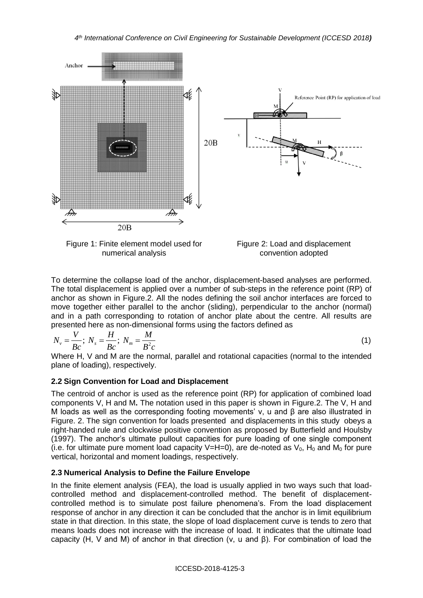

numerical analysis

convention adopted

To determine the collapse load of the anchor, displacement-based analyses are performed. The total displacement is applied over a number of sub-steps in the reference point (RP) of anchor as shown in Figure.2. All the nodes defining the soil anchor interfaces are forced to move together either parallel to the anchor (sliding), perpendicular to the anchor (normal) and in a path corresponding to rotation of anchor plate about the centre. All results are presented here as non-dimensional forms using the factors defined as

$$
N_{\nu} = \frac{V}{Bc}; N_s = \frac{H}{Bc}; N_m = \frac{M}{B^2c}
$$
 (1)

Where H, V and M are the normal, parallel and rotational capacities (normal to the intended plane of loading), respectively.

# **2.2 Sign Convention for Load and Displacement**

The centroid of anchor is used as the reference point (RP) for application of combined load components V, H and M**.** The notation used in this paper is shown in Figure.2. The V, H and M loads as well as the corresponding footing movements' v, u and β are also illustrated in Figure. 2. The sign convention for loads presented and displacements in this study obeys a right-handed rule and clockwise positive convention as proposed by Butterfield and Houlsby (1997). The anchor's ultimate pullout capacities for pure loading of one single component (i.e. for ultimate pure moment load capacity V=H=0), are de-noted as  $V_0$ , H<sub>0</sub> and M<sub>0</sub> for pure vertical, horizontal and moment loadings, respectively.

# **2.3 Numerical Analysis to Define the Failure Envelope**

In the finite element analysis (FEA), the load is usually applied in two ways such that loadcontrolled method and displacement-controlled method. The benefit of displacementcontrolled method is to simulate post failure phenomena's. From the load displacement response of anchor in any direction it can be concluded that the anchor is in limit equilibrium state in that direction. In this state, the slope of load displacement curve is tends to zero that means loads does not increase with the increase of load. It indicates that the ultimate load capacity (H, V and M) of anchor in that direction (v, u and β). For combination of load the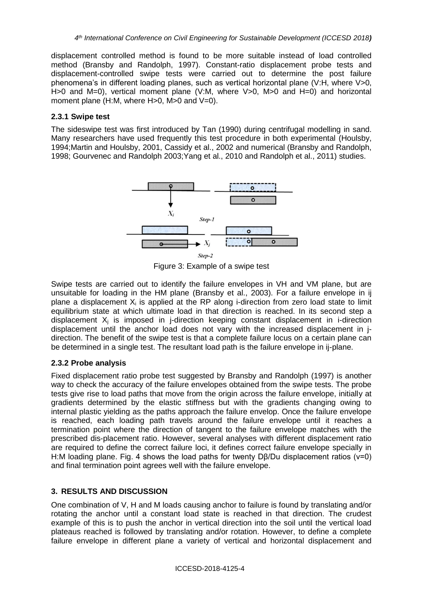displacement controlled method is found to be more suitable instead of load controlled method (Bransby and Randolph, 1997). Constant-ratio displacement probe tests and displacement-controlled swipe tests were carried out to determine the post failure phenomena's in different loading planes, such as vertical horizontal plane (V:H, where V>0, H $>0$  and M=0), vertical moment plane (V:M, where V $>0$ , M $>0$  and H=0) and horizontal moment plane (H:M, where H>0, M>0 and V=0).

### **2.3.1 Swipe test**

The sideswipe test was first introduced by Tan (1990) during centrifugal modelling in sand. Many researchers have used frequently this test procedure in both experimental (Houlsby, 1994;Martin and Houlsby, 2001, Cassidy et al., 2002 and numerical (Bransby and Randolph, 1998; Gourvenec and Randolph 2003;Yang et al., 2010 and Randolph et al., 2011) studies.



Figure 3: Example of a swipe test

Swipe tests are carried out to identify the failure envelopes in VH and VM plane, but are unsuitable for loading in the HM plane (Bransby et al., 2003). For a failure envelope in ij plane a displacement  $X_i$  is applied at the RP along i-direction from zero load state to limit equilibrium state at which ultimate load in that direction is reached. In its second step a displacement  $X_i$  is imposed in j-direction keeping constant displacement in i-direction displacement until the anchor load does not vary with the increased displacement in jdirection. The benefit of the swipe test is that a complete failure locus on a certain plane can be determined in a single test. The resultant load path is the failure envelope in ij-plane.

# **2.3.2 Probe analysis**

Fixed displacement ratio probe test suggested by Bransby and Randolph (1997) is another way to check the accuracy of the failure envelopes obtained from the swipe tests. The probe tests give rise to load paths that move from the origin across the failure envelope, initially at gradients determined by the elastic stiffness but with the gradients changing owing to internal plastic yielding as the paths approach the failure envelop. Once the failure envelope is reached, each loading path travels around the failure envelope until it reaches a termination point where the direction of tangent to the failure envelope matches with the prescribed dis-placement ratio. However, several analyses with different displacement ratio are required to define the correct failure loci, it defines correct failure envelope specially in H:M loading plane. Fig. 4 shows the load paths for twenty Dβ/Du displacement ratios (v=0) and final termination point agrees well with the failure envelope.

# **3. RESULTS AND DISCUSSION**

One combination of V, H and M loads causing anchor to failure is found by translating and/or rotating the anchor until a constant load state is reached in that direction. The crudest example of this is to push the anchor in vertical direction into the soil until the vertical load plateaus reached is followed by translating and/or rotation. However, to define a complete failure envelope in different plane a variety of vertical and horizontal displacement and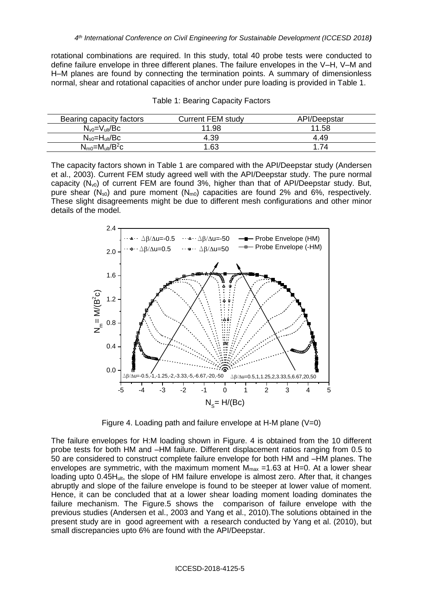rotational combinations are required. In this study, total 40 probe tests were conducted to define failure envelope in three different planes. The failure envelopes in the V–H, V–M and H–M planes are found by connecting the termination points. A summary of dimensionless normal, shear and rotational capacities of anchor under pure loading is provided in Table 1.

| Bearing capacity factors              | <b>Current FEM study</b> | API/Deepstar |
|---------------------------------------|--------------------------|--------------|
| $N_{\rm v0} = V_{\rm ult} / Bc$       | 11.98                    | 11.58        |
| $N_{s0} = H_{ult}/Bc$                 | 4.39                     | 4.49         |
| $N_{\text{m0}} = M_{\text{ult}}/B^2c$ | 1.63                     | 1.74         |

|  |  | Table 1: Bearing Capacity Factors |  |
|--|--|-----------------------------------|--|
|--|--|-----------------------------------|--|

The capacity factors shown in Table 1 are compared with the API/Deepstar study (Andersen et al., 2003). Current FEM study agreed well with the API/Deepstar study. The pure normal capacity  $(N_{v0})$  of current FEM are found 3%, higher than that of API/Deepstar study. But, pure shear  $(N_{s0})$  and pure moment  $(N_{m0})$  capacities are found 2% and 6%, respectively. These slight disagreements might be due to different mesh configurations and other minor details of the model.



Figure 4. Loading path and failure envelope at H-M plane (V=0)

The failure envelopes for H:M loading shown in Figure. 4 is obtained from the 10 different probe tests for both HM and –HM failure. Different displacement ratios ranging from 0.5 to 50 are considered to construct complete failure envelope for both HM and –HM planes. The envelopes are symmetric, with the maximum moment  $M_{max}$  =1.63 at H=0. At a lower shear loading upto 0.45H<sub>ult</sub>, the slope of HM failure envelope is almost zero. After that, it changes abruptly and slope of the failure envelope is found to be steeper at lower value of moment. Hence, it can be concluded that at a lower shear loading moment loading dominates the failure mechanism. The Figure.5 shows the comparison of failure envelope with the previous studies (Andersen et al., 2003 and Yang et al., 2010).The solutions obtained in the present study are in good agreement with a research conducted by Yang et al. (2010), but small discrepancies upto 6% are found with the API/Deepstar.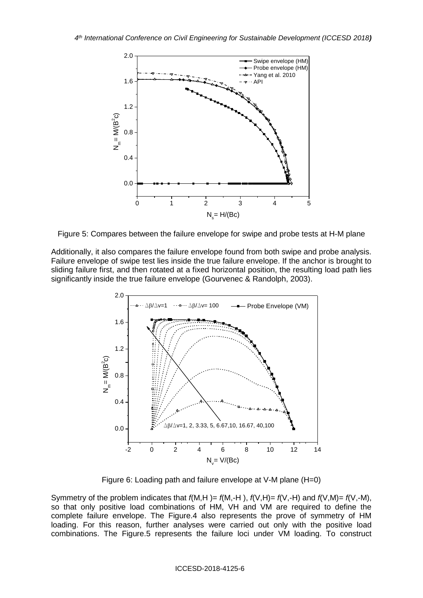

Figure 5: Compares between the failure envelope for swipe and probe tests at H-M plane

Additionally, it also compares the failure envelope found from both swipe and probe analysis. Failure envelope of swipe test lies inside the true failure envelope. If the anchor is brought to sliding failure first, and then rotated at a fixed horizontal position, the resulting load path lies significantly inside the true failure envelope (Gourvenec & Randolph, 2003).



Figure 6: Loading path and failure envelope at V-M plane (H=0)

Symmetry of the problem indicates that *f*(M,H )= *f*(M,-H ), *f*(V,H)= *f*(V,-H) and *f*(V,M)= *f*(V,-M), so that only positive load combinations of HM, VH and VM are required to define the complete failure envelope. The Figure.4 also represents the prove of symmetry of HM loading. For this reason, further analyses were carried out only with the positive load combinations. The Figure.5 represents the failure loci under VM loading. To construct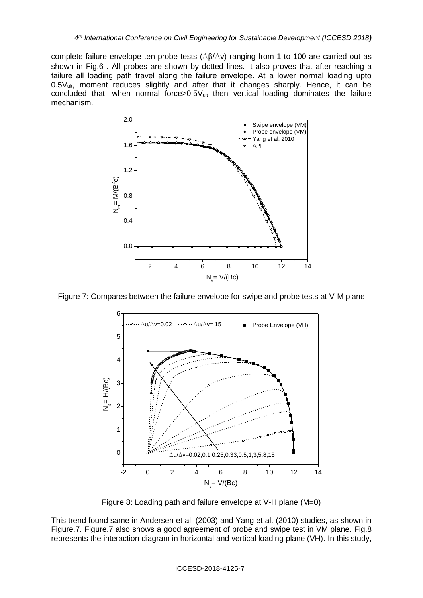complete failure envelope ten probe tests  $(\Delta \beta / \Delta v)$  ranging from 1 to 100 are carried out as shown in Fig.6 . All probes are shown by dotted lines. It also proves that after reaching a failure all loading path travel along the failure envelope. At a lower normal loading upto 0.5V<sub>ult</sub>, moment reduces slightly and after that it changes sharply. Hence, it can be concluded that, when normal force $>0.5V$ <sub>ult</sub> then vertical loading dominates the failure mechanism.



Figure 7: Compares between the failure envelope for swipe and probe tests at V-M plane



Figure 8: Loading path and failure envelope at V-H plane (M=0)

This trend found same in Andersen et al. (2003) and Yang et al. (2010) studies, as shown in Figure.7. Figure.7 also shows a good agreement of probe and swipe test in VM plane. Fig.8 represents the interaction diagram in horizontal and vertical loading plane (VH). In this study,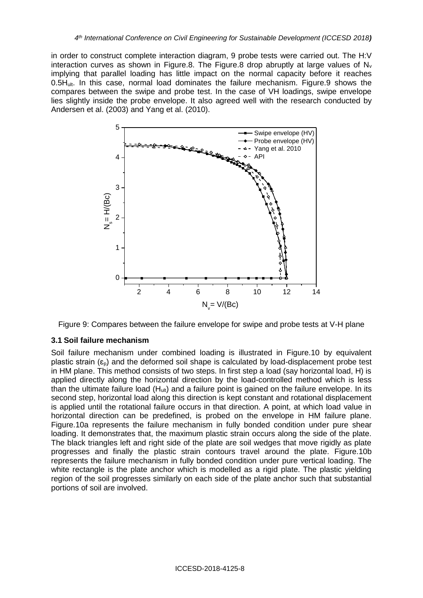in order to construct complete interaction diagram, 9 probe tests were carried out. The H:V interaction curves as shown in Figure.8. The Figure.8 drop abruptly at large values of  $N_v$ implying that parallel loading has little impact on the normal capacity before it reaches 0.5Hult. In this case, normal load dominates the failure mechanism. Figure.9 shows the compares between the swipe and probe test. In the case of VH loadings, swipe envelope lies slightly inside the probe envelope. It also agreed well with the research conducted by Andersen et al. (2003) and Yang et al. (2010).



Figure 9: Compares between the failure envelope for swipe and probe tests at V-H plane

#### **3.1 Soil failure mechanism**

Soil failure mechanism under combined loading is illustrated in Figure.10 by equivalent plastic strain  $(\epsilon_{p})$  and the deformed soil shape is calculated by load-displacement probe test in HM plane. This method consists of two steps. In first step a load (say horizontal load, H) is applied directly along the horizontal direction by the load-controlled method which is less than the ultimate failure load  $(H_{ult})$  and a failure point is gained on the failure envelope. In its second step, horizontal load along this direction is kept constant and rotational displacement is applied until the rotational failure occurs in that direction. A point, at which load value in horizontal direction can be predefined, is probed on the envelope in HM failure plane. Figure.10a represents the failure mechanism in fully bonded condition under pure shear loading. It demonstrates that, the maximum plastic strain occurs along the side of the plate. The black triangles left and right side of the plate are soil wedges that move rigidly as plate progresses and finally the plastic strain contours travel around the plate. Figure.10b represents the failure mechanism in fully bonded condition under pure vertical loading. The white rectangle is the plate anchor which is modelled as a rigid plate. The plastic yielding region of the soil progresses similarly on each side of the plate anchor such that substantial portions of soil are involved.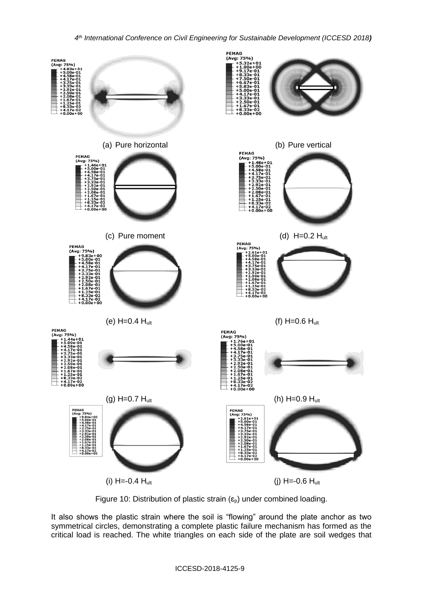#### *4 th International Conference on Civil Engineering for Sustainable Development (ICCESD 2018)*



Figure 10: Distribution of plastic strain  $(\epsilon_{p})$  under combined loading.

It also shows the plastic strain where the soil is "flowing" around the plate anchor as two symmetrical circles, demonstrating a complete plastic failure mechanism has formed as the critical load is reached. The white triangles on each side of the plate are soil wedges that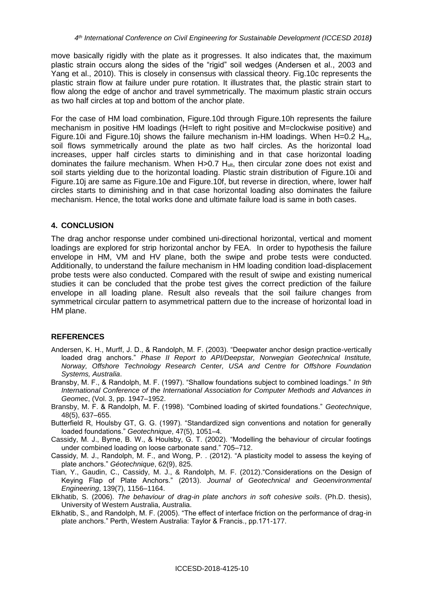move basically rigidly with the plate as it progresses. It also indicates that, the maximum plastic strain occurs along the sides of the "rigid" soil wedges (Andersen et al., 2003 and Yang et al., 2010). This is closely in consensus with classical theory. Fig.10c represents the plastic strain flow at failure under pure rotation. It illustrates that, the plastic strain start to flow along the edge of anchor and travel symmetrically. The maximum plastic strain occurs as two half circles at top and bottom of the anchor plate.

For the case of HM load combination, Figure.10d through Figure.10h represents the failure mechanism in positive HM loadings (H=left to right positive and M=clockwise positive) and Figure.10i and Figure.10j shows the failure mechanism in-HM loadings. When H=0.2 Hult, soil flows symmetrically around the plate as two half circles. As the horizontal load increases, upper half circles starts to diminishing and in that case horizontal loading dominates the failure mechanism. When H>0.7 H<sub>ult</sub>, then circular zone does not exist and soil starts yielding due to the horizontal loading. Plastic strain distribution of Figure.10i and Figure.10j are same as Figure.10e and Figure.10f, but reverse in direction, where, lower half circles starts to diminishing and in that case horizontal loading also dominates the failure mechanism. Hence, the total works done and ultimate failure load is same in both cases.

### **4. CONCLUSION**

The drag anchor response under combined uni-directional horizontal, vertical and moment loadings are explored for strip horizontal anchor by FEA. In order to hypothesis the failure envelope in HM, VM and HV plane, both the swipe and probe tests were conducted. Additionally, to understand the failure mechanism in HM loading condition load-displacement probe tests were also conducted. Compared with the result of swipe and existing numerical studies it can be concluded that the probe test gives the correct prediction of the failure envelope in all loading plane. Result also reveals that the soil failure changes from symmetrical circular pattern to asymmetrical pattern due to the increase of horizontal load in HM plane.

### **REFERENCES**

- Andersen, K. H., Murff, J. D., & Randolph, M. F. (2003). "Deepwater anchor design practice-vertically loaded drag anchors." *Phase II Report to API/Deepstar, Norwegian Geotechnical Institute, Norway, Offshore Technology Research Center, USA and Centre for Offshore Foundation Systems, Australia*.
- Bransby, M. F., & Randolph, M. F. (1997). "Shallow foundations subject to combined loadings." *In 9th International Conference of the International Association for Computer Methods and Advances in Geomec*, (Vol. 3, pp. 1947–1952.
- Bransby, M. F. & Randolph, M. F. (1998). "Combined loading of skirted foundations." *Geotechnique*, 48(5), 637–655.
- Butterfield R, Houlsby GT, G. G. (1997). "Standardized sign conventions and notation for generally loaded foundations." *Geotechnique*, 47(5), 1051–4.
- Cassidy, M. J., Byrne, B. W., & Houlsby, G. T. (2002). "Modelling the behaviour of circular footings under combined loading on loose carbonate sand." 705–712.
- Cassidy, M. J., Randolph, M. F., and Wong, P. . (2012). "A plasticity model to assess the keying of plate anchors." *Géotechnique*, 62(9), 825.
- Tian, Y., Gaudin, C., Cassidy, M. J., & Randolph, M. F. (2012)."Considerations on the Design of Keying Flap of Plate Anchors." (2013). *Journal of Geotechnical and Geoenvironmental Engineering*, 139(7), 1156–1164.
- Elkhatib, S. (2006). *The behaviour of drag-in plate anchors in soft cohesive soils*. (Ph.D. thesis), University of Western Australia, Australia.
- Elkhatib, S., and Randolph, M. F. (2005). "The effect of interface friction on the performance of drag-in plate anchors." Perth, Western Australia: Taylor & Francis., pp.171-177.